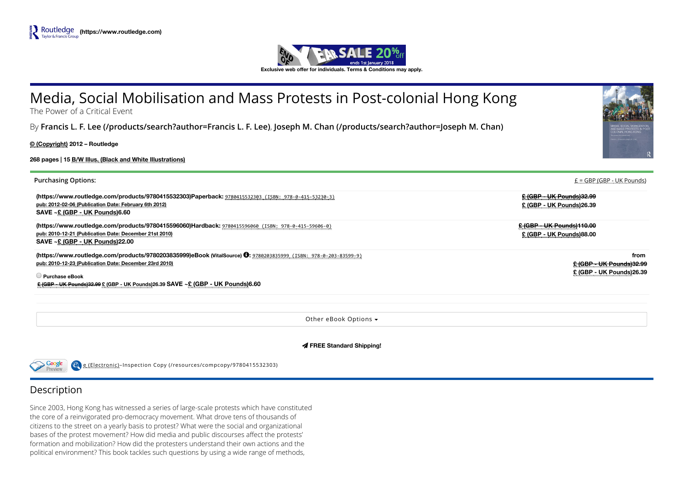

# Media, Social Mobilisation and Mass Protests in Post-colonial Hong Kong

The Power of a Critical Event

By [Francis L. F. Lee \(/products/search?author=Francis L. F. Lee\)](https://www.routledge.com/products/search?author=Francis%20L.%20F.%20Lee), [Joseph M. Chan \(/products/search?author=Joseph M. Chan\)](https://www.routledge.com/products/search?author=Joseph%20M.%20Chan)

© (Copyright) 2012 – Routledge

268 pages | 15 B/W Illus. (Black and White Illustrations)

| <b>Purchasing Options:</b>                                                                                                                                                                      | $E = GBP$ (GBP - UK Pounds)                                          |
|-------------------------------------------------------------------------------------------------------------------------------------------------------------------------------------------------|----------------------------------------------------------------------|
| (https://www.routledge.com/products/9780415532303)Paperback: 9780415532303 (ISBN: 978-0-415-53230-3)<br>pub: 2012-02-06 (Publication Date: February 6th 2012)<br>SAVE ~£ (GBP - UK Pounds)6.60  | <b>£ (GBP - UK Pounds)32.99</b><br>£ (GBP - UK Pounds)26.39          |
| (https://www.routledge.com/products/9780415596060)Hardback: 9780415596060 (ISBN: 978-0-415-59606-0)<br>pub: 2010-12-21 (Publication Date: December 21st 2010)<br>SAVE ~£ (GBP - UK Pounds)22.00 | £ (GBP - UK Pounds)110.00<br>£ (GBP - UK Pounds)88.00                |
| (https://www.routledge.com/products/9780203835999)eBook (VitalSource) <sup>6</sup> 9780203835999 (ISBN: 978-0-203-83599-9)<br>pub: 2010-12-23 (Publication Date: December 23rd 2010)            | from<br><u> £ (GBP - UK Pounds)32.99</u><br>£ (GBP - UK Pounds)26.39 |
| <b>Purchase eBook</b><br>E (GBP - UK Pounds)32.99 £ (GBP - UK Pounds)26.39 SAVE ~ £ (GBP - UK Pounds)6.60                                                                                       |                                                                      |

Other eBook Options

FREE Standard Shipping!



e (Electronic)–Inspection Copy [\(/resources/compcopy/9780415532303\)](https://www.routledge.com/resources/compcopy/9780415532303)

## Description

Since 2003, Hong Kong has witnessed a series of large-scale protests which have constituted the core of a reinvigorated pro-democracy movement. What drove tens of thousands of citizens to the street on a yearly basis to protest? What were the social and organizational bases of the protest movement? How did media and public discourses affect the protests' formation and mobilization? How did the protesters understand their own actions and the political environment? This book tackles such questions by using a wide range of methods,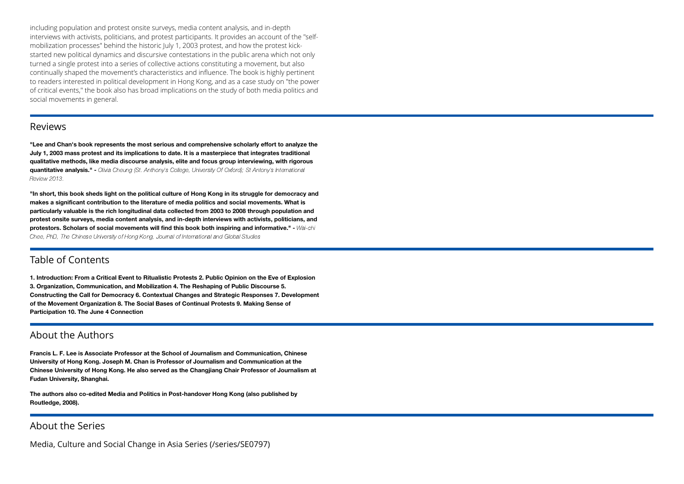including population and protest onsite surveys, media content analysis, and in-depth interviews with activists, politicians, and protest participants. It provides an account of the "selfmobilization processes" behind the historic July 1, 2003 protest, and how the protest kickstarted new political dynamics and discursive contestations in the public arena which not only turned a single protest into a series of collective actions constituting a movement, but also continually shaped the movement's characteristics and influence. The book is highly pertinent to readers interested in political development in Hong Kong, and as a case study on "the power of critical events," the book also has broad implications on the study of both media politics and social movements in general.

#### Reviews

"Lee and Chan's book represents the most serious and comprehensive scholarly effort to analyze the July 1, 2003 mass protest and its implications to date. It is a masterpiece that integrates traditional qualitative methods, like media discourse analysis, elite and focus group interviewing, with rigorous **quantitative analysis."** - Olivia Cheung (St. Anthony's College, University Of Oxford); St Antony's International Review 2013.

"In short, this book sheds light on the political culture of Hong Kong in its struggle for democracy and makes a significant contribution to the literature of media politics and social movements. What is particularly valuable is the rich longitudinal data collected from 2003 to 2008 through population and protest onsite surveys, media content analysis, and in-depth interviews with activists, politicians, and protestors. Scholars of social movements will find this book both inspiring and informative." - Wai-chi Chee, PhD, The Chinese University of Hong Kong, Journal of International and Global Studies

#### Table of Contents

1. Introduction: From a Critical Event to Ritualistic Protests 2. Public Opinion on the Eve of Explosion 3. Organization, Communication, and Mobilization 4. The Reshaping of Public Discourse 5. Constructing the Call for Democracy 6. Contextual Changes and Strategic Responses 7. Development of the Movement Organization 8. The Social Bases of Continual Protests 9. Making Sense of Participation 10. The June 4 Connection

#### About the Authors

Francis L. F. Lee is Associate Professor at the School of Journalism and Communication, Chinese University of Hong Kong. Joseph M. Chan is Professor of Journalism and Communication at the Chinese University of Hong Kong. He also served as the Changjiang Chair Professor of Journalism at Fudan University, Shanghai.

The authors also co-edited Media and Politics in Post-handover Hong Kong (also published by Routledge, 2008).

### About the Series

[Media, Culture and Social Change in Asia Series \(/series/SE0797\)](https://www.routledge.com/series/SE0797)